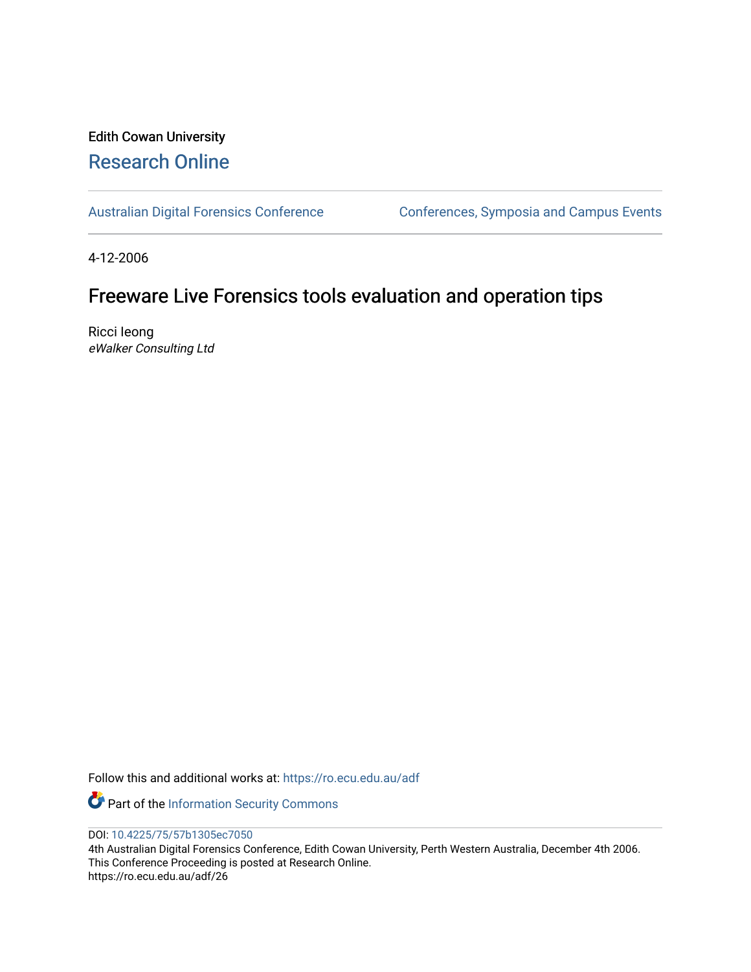# Edith Cowan University [Research Online](https://ro.ecu.edu.au/)

[Australian Digital Forensics Conference](https://ro.ecu.edu.au/adf) Conferences, Symposia and Campus Events

4-12-2006

# Freeware Live Forensics tools evaluation and operation tips

Ricci Ieong eWalker Consulting Ltd

Follow this and additional works at: [https://ro.ecu.edu.au/adf](https://ro.ecu.edu.au/adf?utm_source=ro.ecu.edu.au%2Fadf%2F26&utm_medium=PDF&utm_campaign=PDFCoverPages)

Part of the [Information Security Commons](http://network.bepress.com/hgg/discipline/1247?utm_source=ro.ecu.edu.au%2Fadf%2F26&utm_medium=PDF&utm_campaign=PDFCoverPages) 

DOI: [10.4225/75/57b1305ec7050](https://doi.org/10.4225/75/57b1305ec7050)

4th Australian Digital Forensics Conference, Edith Cowan University, Perth Western Australia, December 4th 2006. This Conference Proceeding is posted at Research Online. https://ro.ecu.edu.au/adf/26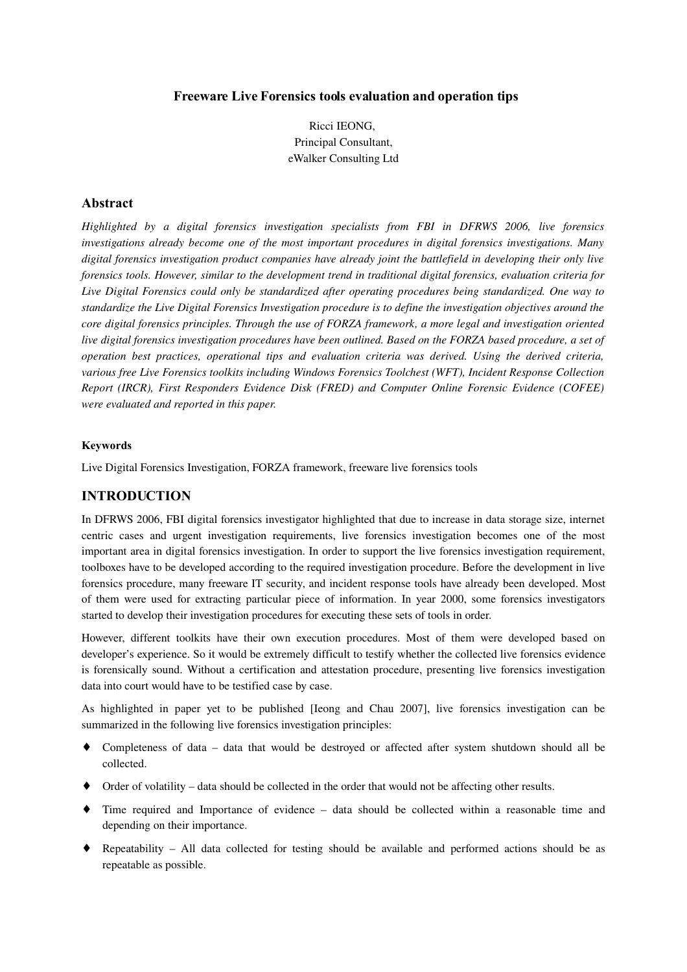## **Freeware Live Forensics tools evaluation and operation tips**

Ricci IEONG, Principal Consultant, eWalker Consulting Ltd

## **Abstract**

*Highlighted by a digital forensics investigation specialists from FBI in DFRWS 2006, live forensics investigations already become one of the most important procedures in digital forensics investigations. Many digital forensics investigation product companies have already joint the battlefield in developing their only live forensics tools. However, similar to the development trend in traditional digital forensics, evaluation criteria for Live Digital Forensics could only be standardized after operating procedures being standardized. One way to standardize the Live Digital Forensics Investigation procedure is to define the investigation objectives around the core digital forensics principles. Through the use of FORZA framework, a more legal and investigation oriented live digital forensics investigation procedures have been outlined. Based on the FORZA based procedure, a set of operation best practices, operational tips and evaluation criteria was derived. Using the derived criteria, various free Live Forensics toolkits including Windows Forensics Toolchest (WFT), Incident Response Collection Report (IRCR), First Responders Evidence Disk (FRED) and Computer Online Forensic Evidence (COFEE) were evaluated and reported in this paper.*

#### **Keywords**

Live Digital Forensics Investigation, FORZA framework, freeware live forensics tools

## **INTRODUCTION**

In DFRWS 2006, FBI digital forensics investigator highlighted that due to increase in data storage size, internet centric cases and urgent investigation requirements, live forensics investigation becomes one of the most important area in digital forensics investigation. In order to support the live forensics investigation requirement, toolboxes have to be developed according to the required investigation procedure. Before the development in live forensics procedure, many freeware IT security, and incident response tools have already been developed. Most of them were used for extracting particular piece of information. In year 2000, some forensics investigators started to develop their investigation procedures for executing these sets of tools in order.

However, different toolkits have their own execution procedures. Most of them were developed based on developer's experience. So it would be extremely difficult to testify whether the collected live forensics evidence is forensically sound. Without a certification and attestation procedure, presenting live forensics investigation data into court would have to be testified case by case.

As highlighted in paper yet to be published [Ieong and Chau 2007], live forensics investigation can be summarized in the following live forensics investigation principles:

- Completeness of data data that would be destroyed or affected after system shutdown should all be collected.
- ♦ Order of volatility data should be collected in the order that would not be affecting other results.
- ♦ Time required and Importance of evidence data should be collected within a reasonable time and depending on their importance.
- ♦ Repeatability All data collected for testing should be available and performed actions should be as repeatable as possible.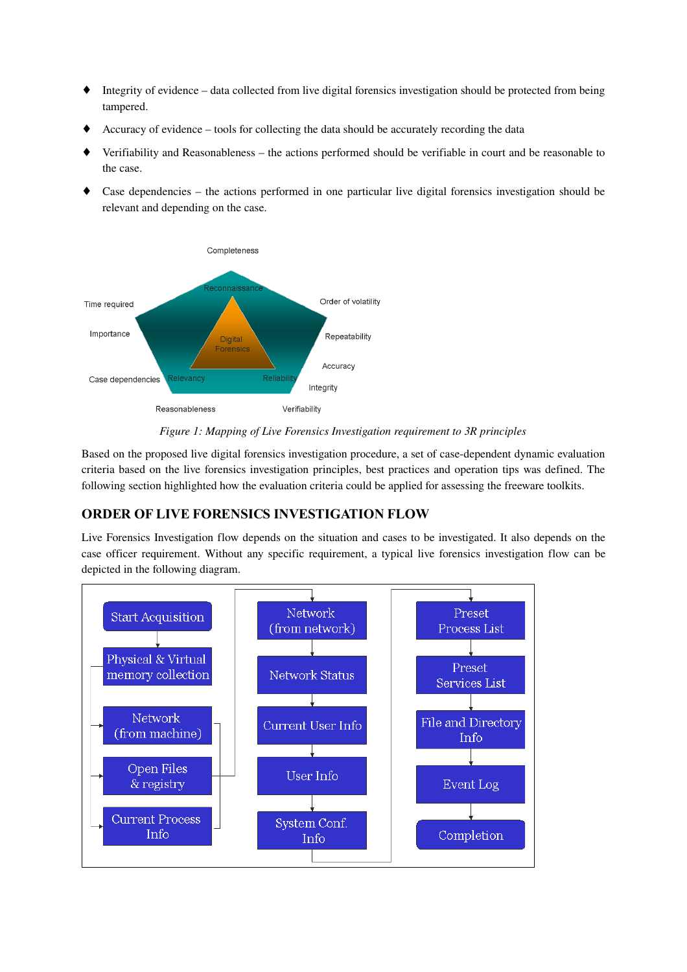- ♦ Integrity of evidence data collected from live digital forensics investigation should be protected from being tampered.
- ♦ Accuracy of evidence tools for collecting the data should be accurately recording the data
- Verifiability and Reasonableness the actions performed should be verifiable in court and be reasonable to the case.
- Case dependencies the actions performed in one particular live digital forensics investigation should be relevant and depending on the case.



*Figure 1: Mapping of Live Forensics Investigation requirement to 3R principles*

Based on the proposed live digital forensics investigation procedure, a set of case-dependent dynamic evaluation criteria based on the live forensics investigation principles, best practices and operation tips was defined. The following section highlighted how the evaluation criteria could be applied for assessing the freeware toolkits.

# **ORDER OF LIVE FORENSICS INVESTIGATION FLOW**

Live Forensics Investigation flow depends on the situation and cases to be investigated. It also depends on the case officer requirement. Without any specific requirement, a typical live forensics investigation flow can be depicted in the following diagram.

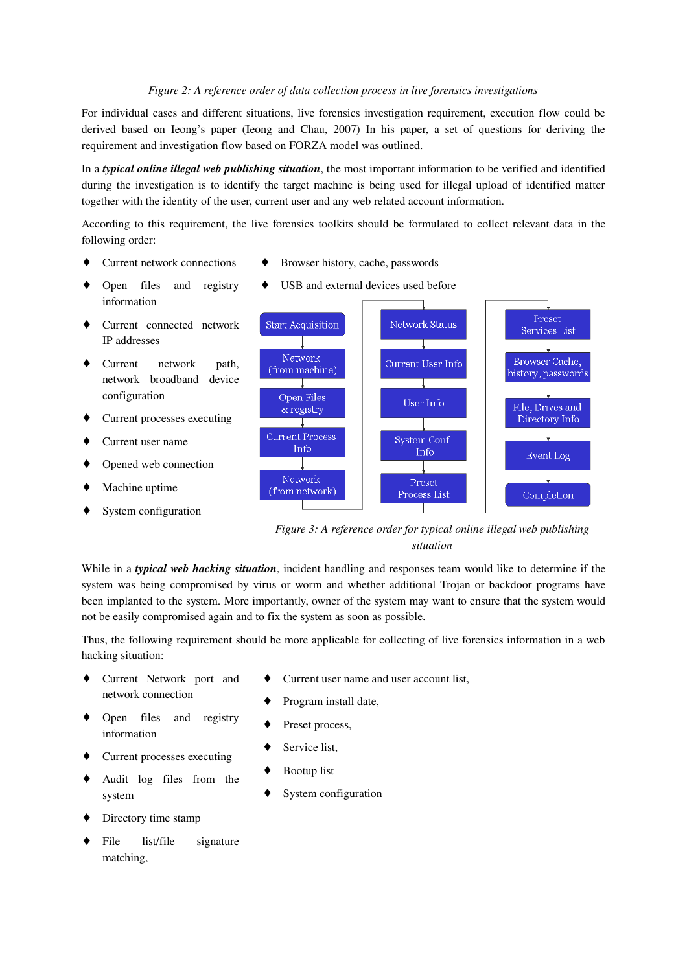#### *Figure 2: A reference order of data collection process in live forensics investigations*

For individual cases and different situations, live forensics investigation requirement, execution flow could be derived based on Ieong's paper (Ieong and Chau, 2007) In his paper, a set of questions for deriving the requirement and investigation flow based on FORZA model was outlined.

In a *typical online illegal web publishing situation*, the most important information to be verified and identified during the investigation is to identify the target machine is being used for illegal upload of identified matter together with the identity of the user, current user and any web related account information.

According to this requirement, the live forensics toolkits should be formulated to collect relevant data in the following order:

- Current network connections
- Browser history, cache, passwords
- Open files and registry information
- Current connected network IP addresses
- Current network path, network broadband device configuration
- Current processes executing
- Current user name
- Opened web connection
- Machine uptime
- System configuration

USB and external devices used before



*Figure 3: A reference order for typical online illegal web publishing situation*

While in a *typical web hacking situation*, incident handling and responses team would like to determine if the system was being compromised by virus or worm and whether additional Trojan or backdoor programs have been implanted to the system. More importantly, owner of the system may want to ensure that the system would not be easily compromised again and to fix the system as soon as possible.

Thus, the following requirement should be more applicable for collecting of live forensics information in a web hacking situation:

- Current Network port and network connection
- Current user name and user account list,
- Program install date,

Preset process,

- Open files and registry information
- Service list.
- Current processes executing
- Audit log files from the system
- Directory time stamp
- File list/file signature matching,
- **Bootup** list
- System configuration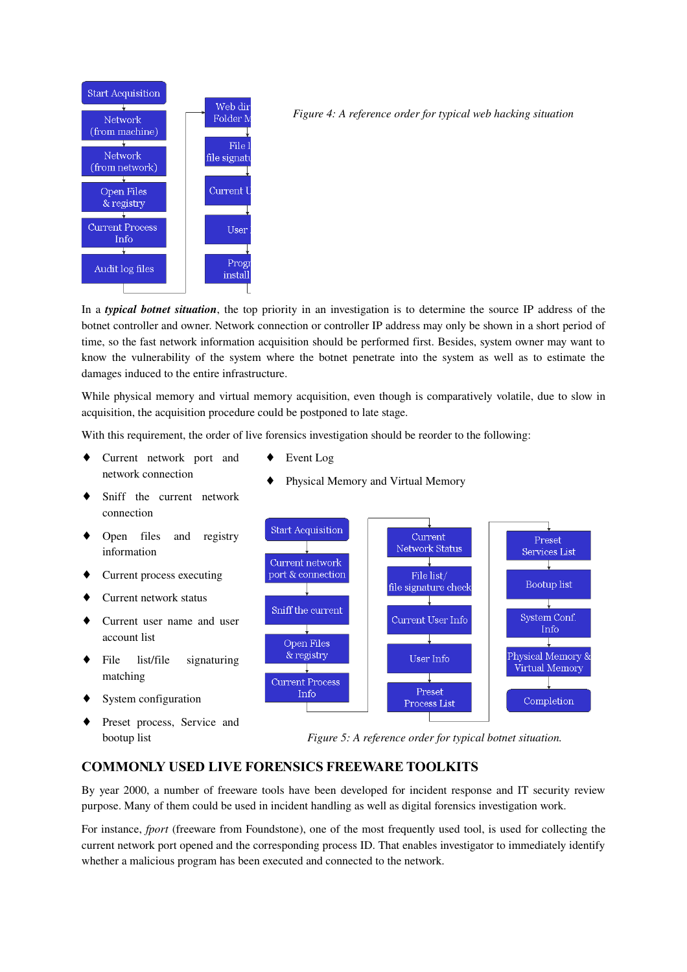

*Figure 4: A reference order for typical web hacking situation*

In a *typical botnet situation*, the top priority in an investigation is to determine the source IP address of the botnet controller and owner. Network connection or controller IP address may only be shown in a short period of time, so the fast network information acquisition should be performed first. Besides, system owner may want to know the vulnerability of the system where the botnet penetrate into the system as well as to estimate the damages induced to the entire infrastructure.

While physical memory and virtual memory acquisition, even though is comparatively volatile, due to slow in acquisition, the acquisition procedure could be postponed to late stage.

With this requirement, the order of live forensics investigation should be reorder to the following:

- Current network port and network connection
- Event Log
- Physical Memory and Virtual Memory
- Sniff the current network connection
- Open files and registry information
- ♦ Current process executing
- Current network status
- Current user name and user account list
- File list/file signaturing matching
- System configuration
- Preset process, Service and bootup list
- *Figure 5: A reference order for typical botnet situation.*

## **COMMONLY USED LIVE FORENSICS FREEWARE TOOLKITS**

By year 2000, a number of freeware tools have been developed for incident response and IT security review purpose. Many of them could be used in incident handling as well as digital forensics investigation work.

For instance, *fport* (freeware from Foundstone), one of the most frequently used tool, is used for collecting the current network port opened and the corresponding process ID. That enables investigator to immediately identify whether a malicious program has been executed and connected to the network.

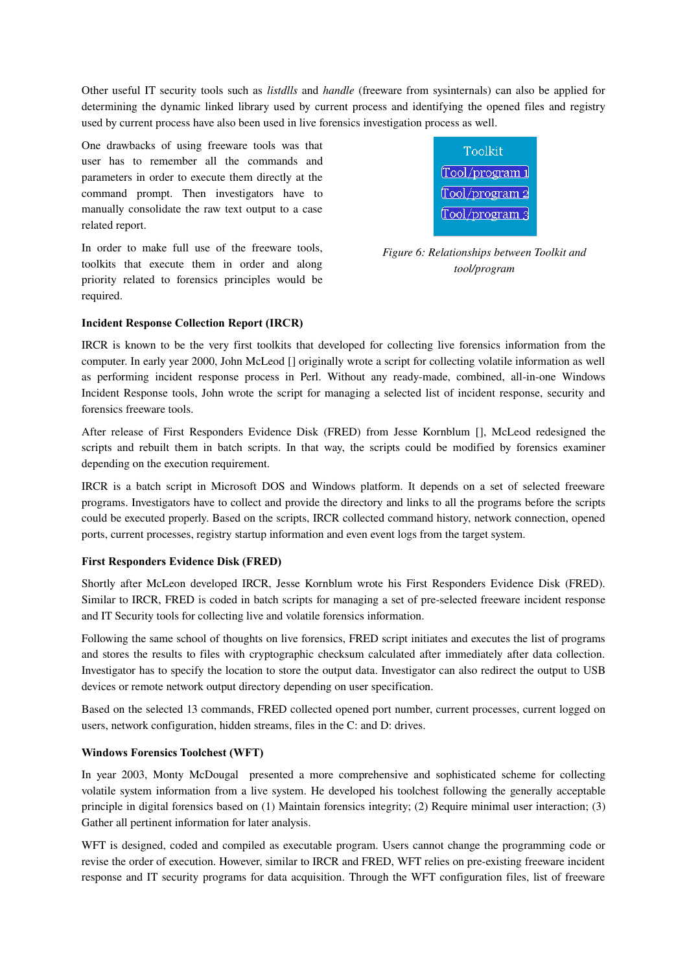Other useful IT security tools such as *listdlls* and *handle* (freeware from sysinternals) can also be applied for determining the dynamic linked library used by current process and identifying the opened files and registry used by current process have also been used in live forensics investigation process as well.

One drawbacks of using freeware tools was that user has to remember all the commands and parameters in order to execute them directly at the command prompt. Then investigators have to manually consolidate the raw text output to a case related report.

In order to make full use of the freeware tools, toolkits that execute them in order and along priority related to forensics principles would be required.



*Figure 6: Relationships between Toolkit and tool/program*

## **Incident Response Collection Report (IRCR)**

IRCR is known to be the very first toolkits that developed for collecting live forensics information from the computer. In early year 2000, John McLeod [\[\]](#page-12-0) originally wrote a script for collecting volatile information as well as performing incident response process in Perl. Without any ready-made, combined, all-in-one Windows Incident Response tools, John wrote the script for managing a selected list of incident response, security and forensics freeware tools.

After release of First Responders Evidence Disk (FRED) from Jesse Kornblum [\[\]](#page-12-1), McLeod redesigned the scripts and rebuilt them in batch scripts. In that way, the scripts could be modified by forensics examiner depending on the execution requirement.

IRCR is a batch script in Microsoft DOS and Windows platform. It depends on a set of selected freeware programs. Investigators have to collect and provide the directory and links to all the programs before the scripts could be executed properly. Based on the scripts, IRCR collected command history, network connection, opened ports, current processes, registry startup information and even event logs from the target system.

## **First Responders Evidence Disk (FRED)**

Shortly after McLeon developed IRCR, Jesse Kornblum wrote his First Responders Evidence Disk (FRED). Similar to IRCR, FRED is coded in batch scripts for managing a set of preselected freeware incident response and IT Security tools for collecting live and volatile forensics information.

Following the same school of thoughts on live forensics, FRED script initiates and executes the list of programs and stores the results to files with cryptographic checksum calculated after immediately after data collection. Investigator has to specify the location to store the output data. Investigator can also redirect the output to USB devices or remote network output directory depending on user specification.

Based on the selected 13 commands, FRED collected opened port number, current processes, current logged on users, network configuration, hidden streams, files in the C: and D: drives.

## **Windows Forensics Toolchest (WFT)**

In year 2003, Monty McDougal presented a more comprehensive and sophisticated scheme for collecting volatile system information from a live system. He developed his toolchest following the generally acceptable principle in digital forensics based on (1) Maintain forensics integrity; (2) Require minimal user interaction; (3) Gather all pertinent information for later analysis.

WFT is designed, coded and compiled as executable program. Users cannot change the programming code or revise the order of execution. However, similar to IRCR and FRED, WFT relies on pre-existing freeware incident response and IT security programs for data acquisition. Through the WFT configuration files, list of freeware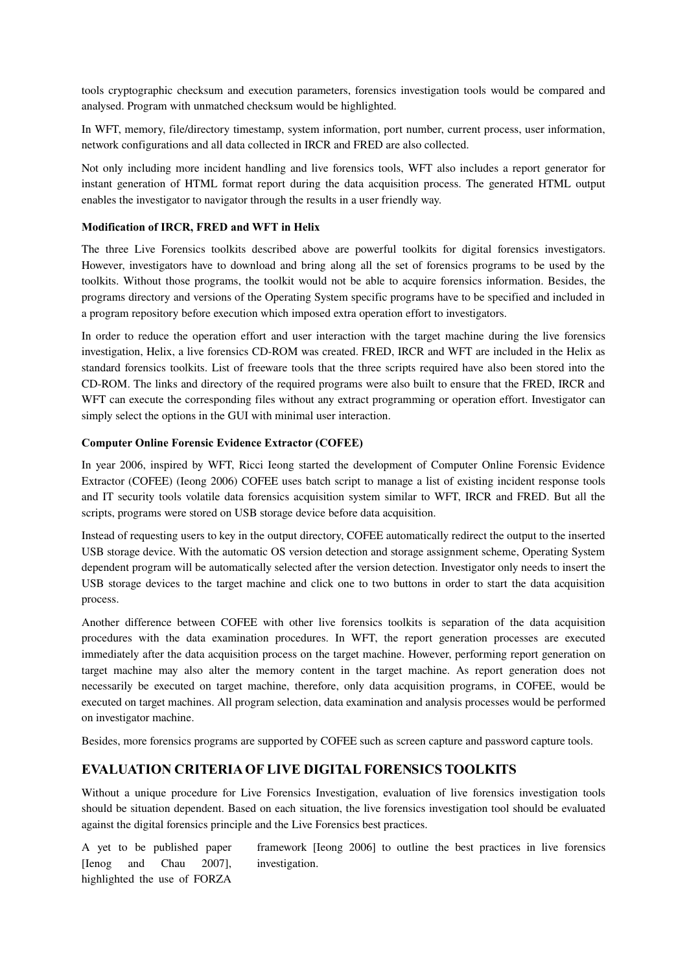tools cryptographic checksum and execution parameters, forensics investigation tools would be compared and analysed. Program with unmatched checksum would be highlighted.

In WFT, memory, file/directory timestamp, system information, port number, current process, user information, network configurations and all data collected in IRCR and FRED are also collected.

Not only including more incident handling and live forensics tools, WFT also includes a report generator for instant generation of HTML format report during the data acquisition process. The generated HTML output enables the investigator to navigator through the results in a user friendly way.

## **Modification of IRCR, FRED and WFT in Helix**

The three Live Forensics toolkits described above are powerful toolkits for digital forensics investigators. However, investigators have to download and bring along all the set of forensics programs to be used by the toolkits. Without those programs, the toolkit would not be able to acquire forensics information. Besides, the programs directory and versions of the Operating System specific programs have to be specified and included in a program repository before execution which imposed extra operation effort to investigators.

In order to reduce the operation effort and user interaction with the target machine during the live forensics investigation, Helix, a live forensics CD-ROM was created. FRED, IRCR and WFT are included in the Helix as standard forensics toolkits. List of freeware tools that the three scripts required have also been stored into the CD-ROM. The links and directory of the required programs were also built to ensure that the FRED, IRCR and WFT can execute the corresponding files without any extract programming or operation effort. Investigator can simply select the options in the GUI with minimal user interaction.

## **Computer Online Forensic Evidence Extractor (COFEE)**

In year 2006, inspired by WFT, Ricci Ieong started the development of Computer Online Forensic Evidence Extractor (COFEE) (Ieong 2006) COFEE uses batch script to manage a list of existing incident response tools and IT security tools volatile data forensics acquisition system similar to WFT, IRCR and FRED. But all the scripts, programs were stored on USB storage device before data acquisition.

Instead of requesting users to key in the output directory, COFEE automatically redirect the output to the inserted USB storage device. With the automatic OS version detection and storage assignment scheme, Operating System dependent program will be automatically selected after the version detection. Investigator only needs to insert the USB storage devices to the target machine and click one to two buttons in order to start the data acquisition process.

Another difference between COFEE with other live forensics toolkits is separation of the data acquisition procedures with the data examination procedures. In WFT, the report generation processes are executed immediately after the data acquisition process on the target machine. However, performing report generation on target machine may also alter the memory content in the target machine. As report generation does not necessarily be executed on target machine, therefore, only data acquisition programs, in COFEE, would be executed on target machines. All program selection, data examination and analysis processes would be performed on investigator machine.

Besides, more forensics programs are supported by COFEE such as screen capture and password capture tools.

## **EVALUATION CRITERIA OF LIVE DIGITAL FORENSICS TOOLKITS**

Without a unique procedure for Live Forensics Investigation, evaluation of live forensics investigation tools should be situation dependent. Based on each situation, the live forensics investigation tool should be evaluated against the digital forensics principle and the Live Forensics best practices.

A yet to be published paper [Ienog and Chau 2007], highlighted the use of FORZA framework [Ieong 2006] to outline the best practices in live forensics investigation.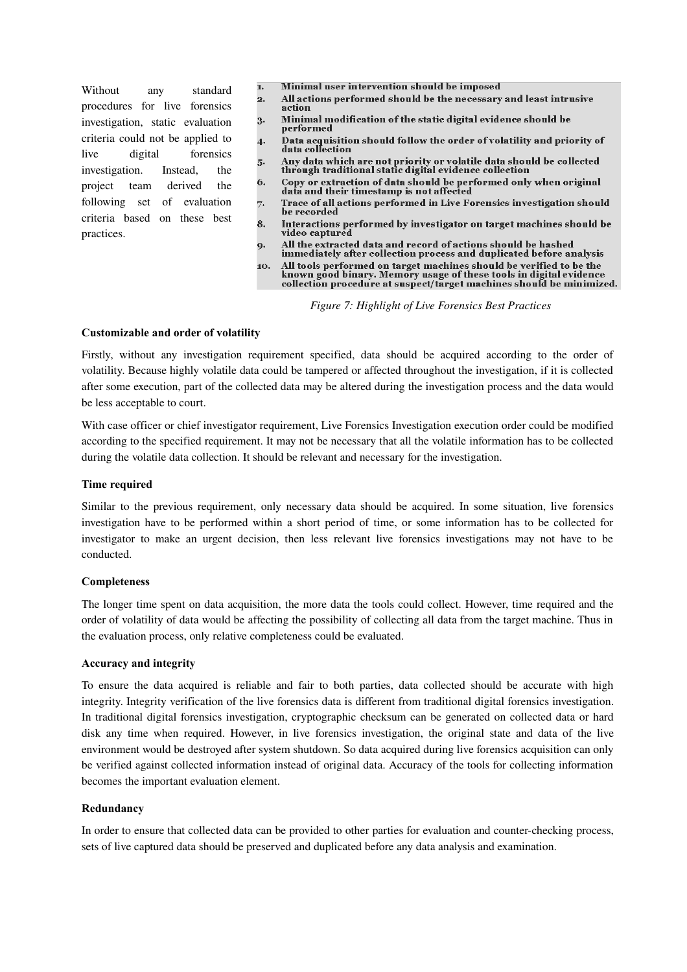Without any standard procedures for live forensics investigation, static evaluation criteria could not be applied to live digital forensics investigation. Instead, the project team derived the following set of evaluation criteria based on these best practices.

- Minimal user intervention should be imposed  $\mathbf{1}$ .
- All actions performed should be the necessary and least intrusive  $2.$ action
- Minimal modification of the static digital evidence should be 3. performed
- Data acquisition should follow the order of volatility and priority of<br>data collection 4.
- Any data which are not priority or volatile data should be collected<br>through traditional static digital evidence collection 5.
- Copy or extraction of data should be performed only when original<br>data and their timestamp is not affected 6.
- Trace of all actions performed in Live Forensics investigation should 7. be recorded
- 8. Interactions performed by investigator on target machines should be video captured
- All the extracted data and record of actions should be hashed<br>immediately after collection process and duplicated before analysis 9.
- All tools performed on target machines should be verified to be the 10. known good binary. Memory usage of these tools in digital evidence<br>collection procedure at suspect/target machines should be minimized.

*Figure 7: Highlight of Live Forensics Best Practices*

#### **Customizable and order of volatility**

Firstly, without any investigation requirement specified, data should be acquired according to the order of volatility. Because highly volatile data could be tampered or affected throughout the investigation, if it is collected after some execution, part of the collected data may be altered during the investigation process and the data would be less acceptable to court.

With case officer or chief investigator requirement, Live Forensics Investigation execution order could be modified according to the specified requirement. It may not be necessary that all the volatile information has to be collected during the volatile data collection. It should be relevant and necessary for the investigation.

## **Time required**

Similar to the previous requirement, only necessary data should be acquired. In some situation, live forensics investigation have to be performed within a short period of time, or some information has to be collected for investigator to make an urgent decision, then less relevant live forensics investigations may not have to be conducted.

## **Completeness**

The longer time spent on data acquisition, the more data the tools could collect. However, time required and the order of volatility of data would be affecting the possibility of collecting all data from the target machine. Thus in the evaluation process, only relative completeness could be evaluated.

## **Accuracy and integrity**

To ensure the data acquired is reliable and fair to both parties, data collected should be accurate with high integrity. Integrity verification of the live forensics data is different from traditional digital forensics investigation. In traditional digital forensics investigation, cryptographic checksum can be generated on collected data or hard disk any time when required. However, in live forensics investigation, the original state and data of the live environment would be destroyed after system shutdown. So data acquired during live forensics acquisition can only be verified against collected information instead of original data. Accuracy of the tools for collecting information becomes the important evaluation element.

## **Redundancy**

In order to ensure that collected data can be provided to other parties for evaluation and counter-checking process, sets of live captured data should be preserved and duplicated before any data analysis and examination.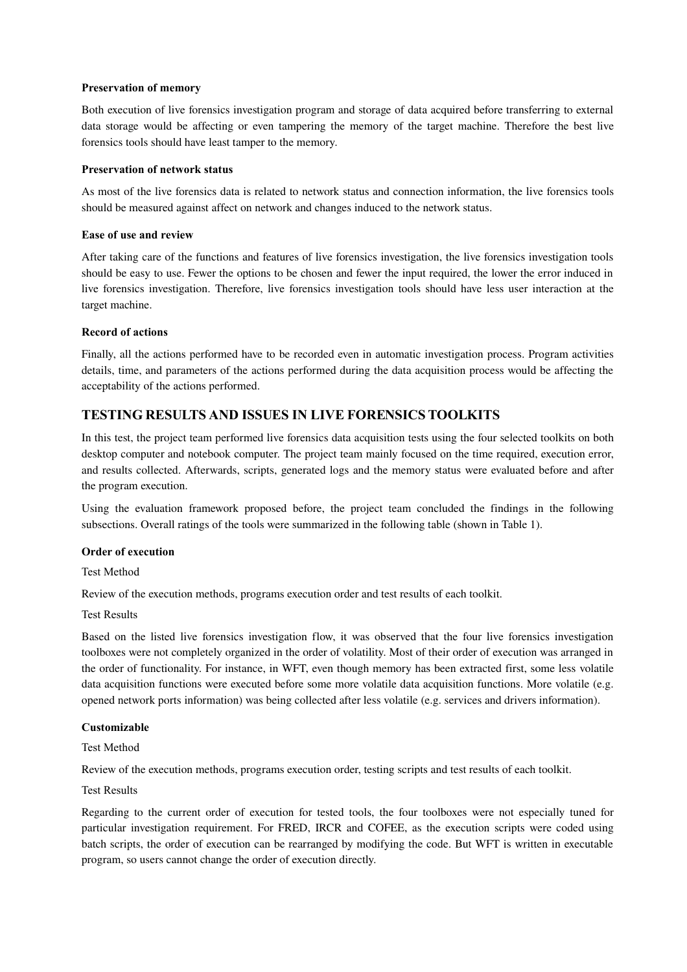## **Preservation of memory**

Both execution of live forensics investigation program and storage of data acquired before transferring to external data storage would be affecting or even tampering the memory of the target machine. Therefore the best live forensics tools should have least tamper to the memory.

## **Preservation of network status**

As most of the live forensics data is related to network status and connection information, the live forensics tools should be measured against affect on network and changes induced to the network status.

## **Ease of use and review**

After taking care of the functions and features of live forensics investigation, the live forensics investigation tools should be easy to use. Fewer the options to be chosen and fewer the input required, the lower the error induced in live forensics investigation. Therefore, live forensics investigation tools should have less user interaction at the target machine.

## **Record of actions**

Finally, all the actions performed have to be recorded even in automatic investigation process. Program activities details, time, and parameters of the actions performed during the data acquisition process would be affecting the acceptability of the actions performed.

# **TESTING RESULTS AND ISSUES IN LIVE FORENSICS TOOLKITS**

In this test, the project team performed live forensics data acquisition tests using the four selected toolkits on both desktop computer and notebook computer. The project team mainly focused on the time required, execution error, and results collected. Afterwards, scripts, generated logs and the memory status were evaluated before and after the program execution.

Using the evaluation framework proposed before, the project team concluded the findings in the following subsections. Overall ratings of the tools were summarized in the following table (shown in [Table 1\)](#page-11-0).

## **Order of execution**

Test Method

Review of the execution methods, programs execution order and test results of each toolkit.

Test Results

Based on the listed live forensics investigation flow, it was observed that the four live forensics investigation toolboxes were not completely organized in the order of volatility. Most of their order of execution was arranged in the order of functionality. For instance, in WFT, even though memory has been extracted first, some less volatile data acquisition functions were executed before some more volatile data acquisition functions. More volatile (e.g. opened network ports information) was being collected after less volatile (e.g. services and drivers information).

## **Customizable**

Test Method

Review of the execution methods, programs execution order, testing scripts and test results of each toolkit.

## Test Results

Regarding to the current order of execution for tested tools, the four toolboxes were not especially tuned for particular investigation requirement. For FRED, IRCR and COFEE, as the execution scripts were coded using batch scripts, the order of execution can be rearranged by modifying the code. But WFT is written in executable program, so users cannot change the order of execution directly.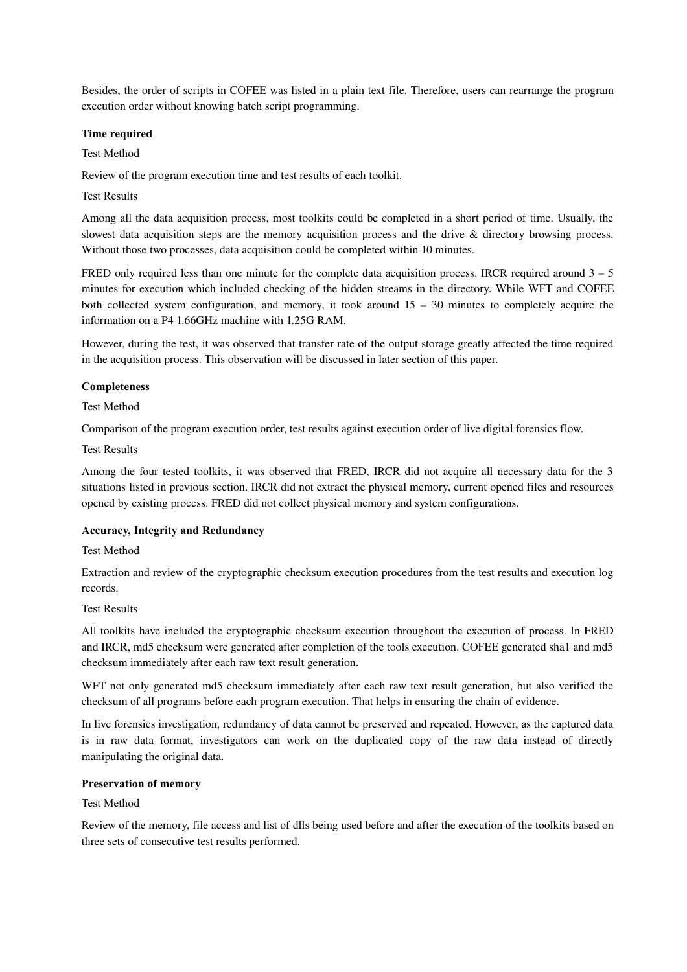Besides, the order of scripts in COFEE was listed in a plain text file. Therefore, users can rearrange the program execution order without knowing batch script programming.

#### **Time required**

Test Method

Review of the program execution time and test results of each toolkit.

#### Test Results

Among all the data acquisition process, most toolkits could be completed in a short period of time. Usually, the slowest data acquisition steps are the memory acquisition process and the drive & directory browsing process. Without those two processes, data acquisition could be completed within 10 minutes.

FRED only required less than one minute for the complete data acquisition process. IRCR required around 3 – 5 minutes for execution which included checking of the hidden streams in the directory. While WFT and COFEE both collected system configuration, and memory, it took around 15 – 30 minutes to completely acquire the information on a P4 1.66GHz machine with 1.25G RAM.

However, during the test, it was observed that transfer rate of the output storage greatly affected the time required in the acquisition process. This observation will be discussed in later section of this paper.

#### **Completeness**

#### Test Method

Comparison of the program execution order, test results against execution order of live digital forensics flow.

#### Test Results

Among the four tested toolkits, it was observed that FRED, IRCR did not acquire all necessary data for the 3 situations listed in previous section. IRCR did not extract the physical memory, current opened files and resources opened by existing process. FRED did not collect physical memory and system configurations.

## **Accuracy, Integrity and Redundancy**

#### Test Method

Extraction and review of the cryptographic checksum execution procedures from the test results and execution log records.

#### Test Results

All toolkits have included the cryptographic checksum execution throughout the execution of process. In FRED and IRCR, md5 checksum were generated after completion of the tools execution. COFEE generated sha1 and md5 checksum immediately after each raw text result generation.

WFT not only generated md5 checksum immediately after each raw text result generation, but also verified the checksum of all programs before each program execution. That helps in ensuring the chain of evidence.

In live forensics investigation, redundancy of data cannot be preserved and repeated. However, as the captured data is in raw data format, investigators can work on the duplicated copy of the raw data instead of directly manipulating the original data.

#### **Preservation of memory**

## Test Method

Review of the memory, file access and list of dlls being used before and after the execution of the toolkits based on three sets of consecutive test results performed.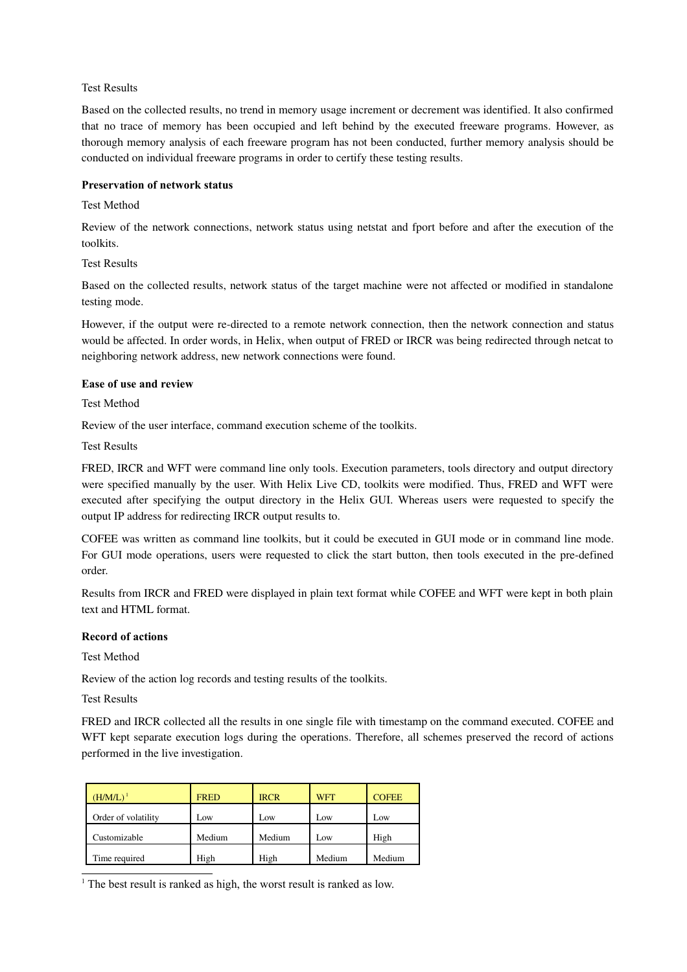## Test Results

Based on the collected results, no trend in memory usage increment or decrement was identified. It also confirmed that no trace of memory has been occupied and left behind by the executed freeware programs. However, as thorough memory analysis of each freeware program has not been conducted, further memory analysis should be conducted on individual freeware programs in order to certify these testing results.

#### **Preservation of network status**

#### Test Method

Review of the network connections, network status using netstat and fport before and after the execution of the toolkits.

Test Results

Based on the collected results, network status of the target machine were not affected or modified in standalone testing mode.

However, if the output were re-directed to a remote network connection, then the network connection and status would be affected. In order words, in Helix, when output of FRED or IRCR was being redirected through netcat to neighboring network address, new network connections were found.

#### **Ease of use and review**

#### Test Method

Review of the user interface, command execution scheme of the toolkits.

Test Results

FRED, IRCR and WFT were command line only tools. Execution parameters, tools directory and output directory were specified manually by the user. With Helix Live CD, toolkits were modified. Thus, FRED and WFT were executed after specifying the output directory in the Helix GUI. Whereas users were requested to specify the output IP address for redirecting IRCR output results to.

COFEE was written as command line toolkits, but it could be executed in GUI mode or in command line mode. For GUI mode operations, users were requested to click the start button, then tools executed in the pre-defined order.

Results from IRCR and FRED were displayed in plain text format while COFEE and WFT were kept in both plain text and HTML format.

## **Record of actions**

Test Method

Review of the action log records and testing results of the toolkits.

Test Results

FRED and IRCR collected all the results in one single file with timestamp on the command executed. COFEE and WFT kept separate execution logs during the operations. Therefore, all schemes preserved the record of actions performed in the live investigation.

| $(H/M/L)^1$         | <b>FRED</b> | <b>IRCR</b> | <b>WFT</b> | <b>COFEE</b> |
|---------------------|-------------|-------------|------------|--------------|
| Order of volatility | Low         | Low         | Low        | Low          |
| Customizable        | Medium      | Medium      | Low        | High         |
| Time required       | High        | High        | Medium     | Medium       |

<span id="page-10-0"></span><sup>1</sup> The best result is ranked as high, the worst result is ranked as low.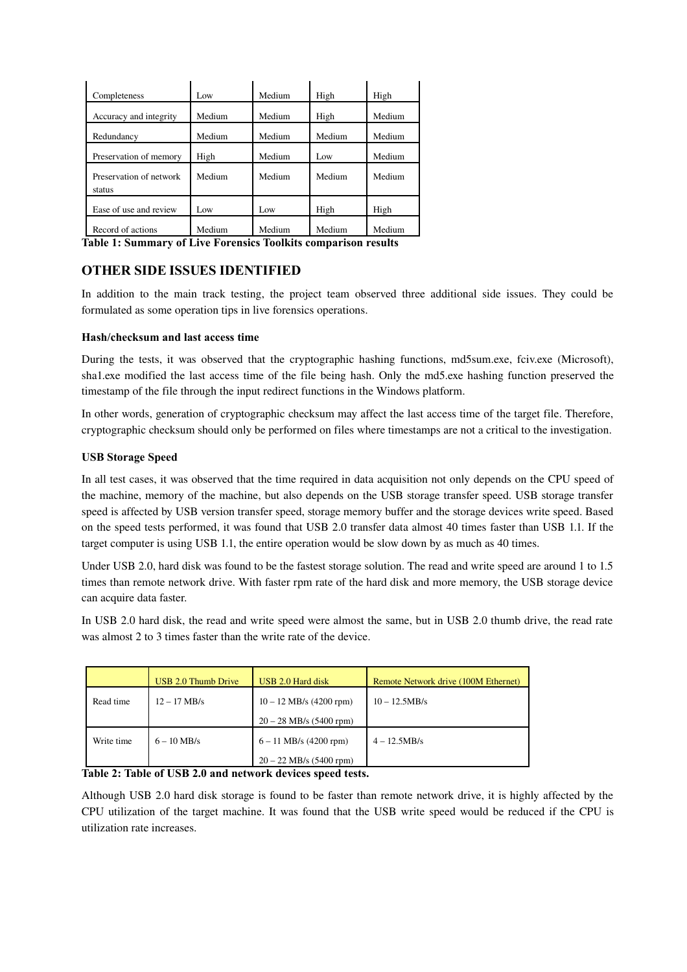| Completeness                      | Low    | Medium | High   | High   |
|-----------------------------------|--------|--------|--------|--------|
| Accuracy and integrity            | Medium | Medium | High   | Medium |
| Redundancy                        | Medium | Medium | Medium | Medium |
| Preservation of memory            | High   | Medium | Low    | Medium |
| Preservation of network<br>status | Medium | Medium | Medium | Medium |
| Ease of use and review            | Low    | Low    | High   | High   |
| Record of actions                 | Medium | Medium | Medium | Medium |

<span id="page-11-0"></span>**Table 1: Summary of Live Forensics Toolkits comparison results**

# **OTHER SIDE ISSUES IDENTIFIED**

In addition to the main track testing, the project team observed three additional side issues. They could be formulated as some operation tips in live forensics operations.

## **Hash/checksum and last access time**

During the tests, it was observed that the cryptographic hashing functions, md5sum.exe, fciv.exe (Microsoft), sha1.exe modified the last access time of the file being hash. Only the md5.exe hashing function preserved the timestamp of the file through the input redirect functions in the Windows platform.

In other words, generation of cryptographic checksum may affect the last access time of the target file. Therefore, cryptographic checksum should only be performed on files where timestamps are not a critical to the investigation.

## **USB Storage Speed**

In all test cases, it was observed that the time required in data acquisition not only depends on the CPU speed of the machine, memory of the machine, but also depends on the USB storage transfer speed. USB storage transfer speed is affected by USB version transfer speed, storage memory buffer and the storage devices write speed. Based on the speed tests performed, it was found that USB 2.0 transfer data almost 40 times faster than USB 1.1. If the target computer is using USB 1.1, the entire operation would be slow down by as much as 40 times.

Under USB 2.0, hard disk was found to be the fastest storage solution. The read and write speed are around 1 to 1.5 times than remote network drive. With faster rpm rate of the hard disk and more memory, the USB storage device can acquire data faster.

In USB 2.0 hard disk, the read and write speed were almost the same, but in USB 2.0 thumb drive, the read rate was almost 2 to 3 times faster than the write rate of the device.

|            | USB 2.0 Thumb Drive | USB 2.0 Hard disk         | Remote Network drive (100M Ethernet) |
|------------|---------------------|---------------------------|--------------------------------------|
| Read time  | $12 - 17$ MB/s      | $10 - 12$ MB/s (4200 rpm) | $10 - 12.5MB/s$                      |
|            |                     | $20 - 28$ MB/s (5400 rpm) |                                      |
| Write time | $6 - 10$ MB/s       | $6 - 11$ MB/s (4200 rpm)  | $4 - 12.5MB/s$                       |
|            |                     | $20 - 22$ MB/s (5400 rpm) |                                      |

## **Table 2: Table of USB 2.0 and network devices speed tests.**

Although USB 2.0 hard disk storage is found to be faster than remote network drive, it is highly affected by the CPU utilization of the target machine. It was found that the USB write speed would be reduced if the CPU is utilization rate increases.